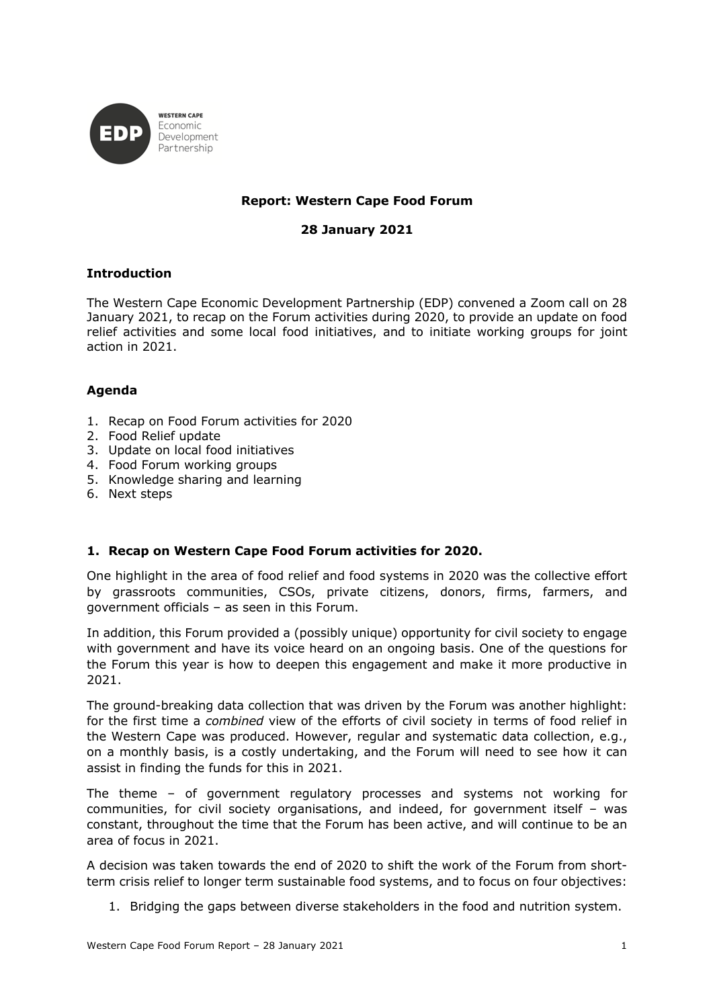

# **Report: Western Cape Food Forum**

**28 January 2021**

## **Introduction**

The Western Cape Economic Development Partnership (EDP) convened a Zoom call on 28 January 2021, to recap on the Forum activities during 2020, to provide an update on food relief activities and some local food initiatives, and to initiate working groups for joint action in 2021.

## **Agenda**

- 1. Recap on Food Forum activities for 2020
- 2. Food Relief update
- 3. Update on local food initiatives
- 4. Food Forum working groups
- 5. Knowledge sharing and learning
- 6. Next steps

## **1. Recap on Western Cape Food Forum activities for 2020.**

One highlight in the area of food relief and food systems in 2020 was the collective effort by grassroots communities, CSOs, private citizens, donors, firms, farmers, and government officials – as seen in this Forum.

In addition, this Forum provided a (possibly unique) opportunity for civil society to engage with government and have its voice heard on an ongoing basis. One of the questions for the Forum this year is how to deepen this engagement and make it more productive in 2021.

The ground-breaking data collection that was driven by the Forum was another highlight: for the first time a *combined* view of the efforts of civil society in terms of food relief in the Western Cape was produced. However, regular and systematic data collection, e.g., on a monthly basis, is a costly undertaking, and the Forum will need to see how it can assist in finding the funds for this in 2021.

The theme – of government regulatory processes and systems not working for communities, for civil society organisations, and indeed, for government itself – was constant, throughout the time that the Forum has been active, and will continue to be an area of focus in 2021.

A decision was taken towards the end of 2020 to shift the work of the Forum from shortterm crisis relief to longer term sustainable food systems, and to focus on four objectives:

1. Bridging the gaps between diverse stakeholders in the food and nutrition system.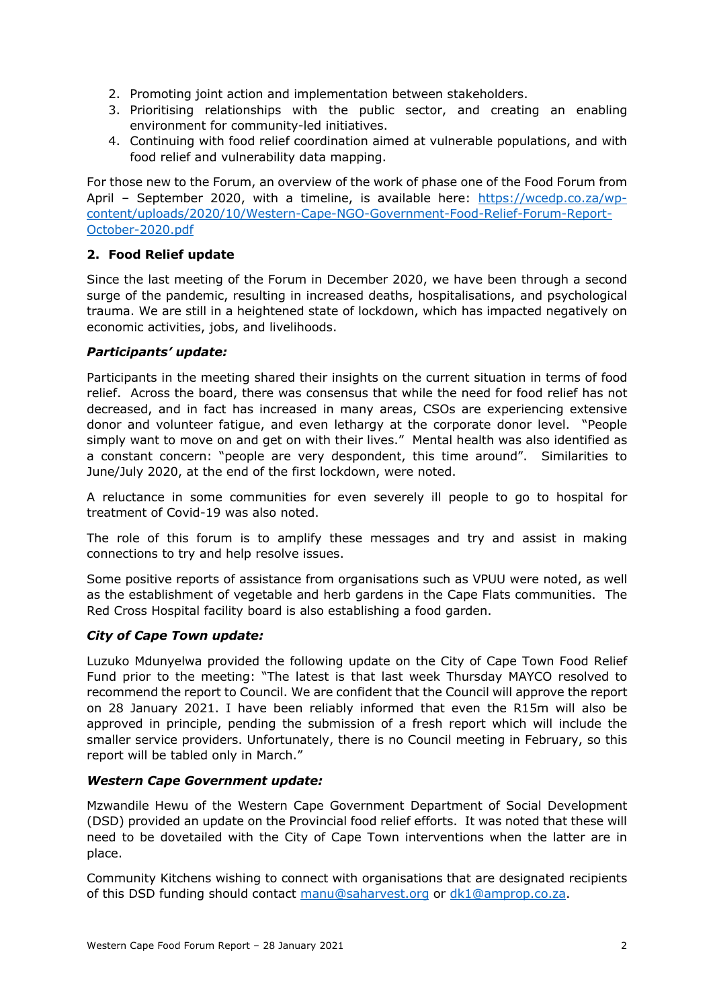- 2. Promoting joint action and implementation between stakeholders.
- 3. Prioritising relationships with the public sector, and creating an enabling environment for community-led initiatives.
- 4. Continuing with food relief coordination aimed at vulnerable populations, and with food relief and vulnerability data mapping.

For those new to the Forum, an overview of the work of phase one of the Food Forum from April – September 2020, with a timeline, is available here: https://wcedp.co.za/wpcontent/uploads/2020/10/Western-Cape-NGO-Government-Food-Relief-Forum-Report-October-2020.pdf

### **2. Food Relief update**

Since the last meeting of the Forum in December 2020, we have been through a second surge of the pandemic, resulting in increased deaths, hospitalisations, and psychological trauma. We are still in a heightened state of lockdown, which has impacted negatively on economic activities, jobs, and livelihoods.

### *Participants' update:*

Participants in the meeting shared their insights on the current situation in terms of food relief. Across the board, there was consensus that while the need for food relief has not decreased, and in fact has increased in many areas, CSOs are experiencing extensive donor and volunteer fatigue, and even lethargy at the corporate donor level. "People simply want to move on and get on with their lives." Mental health was also identified as a constant concern: "people are very despondent, this time around". Similarities to June/July 2020, at the end of the first lockdown, were noted.

A reluctance in some communities for even severely ill people to go to hospital for treatment of Covid-19 was also noted.

The role of this forum is to amplify these messages and try and assist in making connections to try and help resolve issues.

Some positive reports of assistance from organisations such as VPUU were noted, as well as the establishment of vegetable and herb gardens in the Cape Flats communities. The Red Cross Hospital facility board is also establishing a food garden.

#### *City of Cape Town update:*

Luzuko Mdunyelwa provided the following update on the City of Cape Town Food Relief Fund prior to the meeting: "The latest is that last week Thursday MAYCO resolved to recommend the report to Council. We are confident that the Council will approve the report on 28 January 2021. I have been reliably informed that even the R15m will also be approved in principle, pending the submission of a fresh report which will include the smaller service providers. Unfortunately, there is no Council meeting in February, so this report will be tabled only in March."

#### *Western Cape Government update:*

Mzwandile Hewu of the Western Cape Government Department of Social Development (DSD) provided an update on the Provincial food relief efforts. It was noted that these will need to be dovetailed with the City of Cape Town interventions when the latter are in place.

Community Kitchens wishing to connect with organisations that are designated recipients of this DSD funding should contact manu@saharvest.org or dk1@amprop.co.za.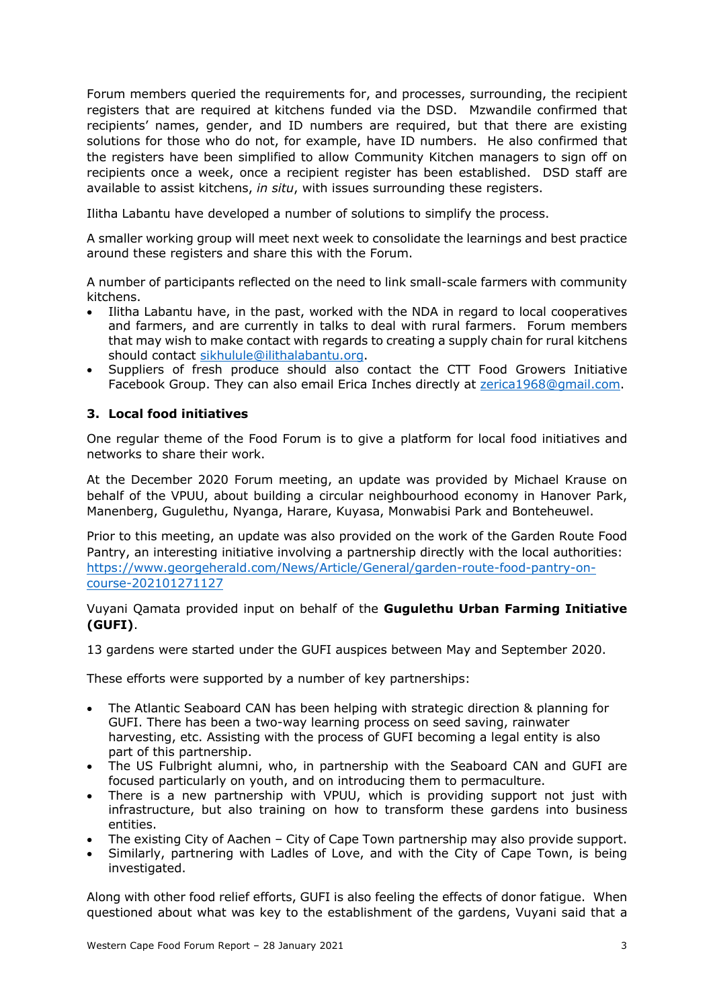Forum members queried the requirements for, and processes, surrounding, the recipient registers that are required at kitchens funded via the DSD. Mzwandile confirmed that recipients' names, gender, and ID numbers are required, but that there are existing solutions for those who do not, for example, have ID numbers. He also confirmed that the registers have been simplified to allow Community Kitchen managers to sign off on recipients once a week, once a recipient register has been established. DSD staff are available to assist kitchens, *in situ*, with issues surrounding these registers.

Ilitha Labantu have developed a number of solutions to simplify the process.

A smaller working group will meet next week to consolidate the learnings and best practice around these registers and share this with the Forum.

A number of participants reflected on the need to link small-scale farmers with community kitchens.

- Ilitha Labantu have, in the past, worked with the NDA in regard to local cooperatives and farmers, and are currently in talks to deal with rural farmers. Forum members that may wish to make contact with regards to creating a supply chain for rural kitchens should contact sikhulule@ilithalabantu.org.
- Suppliers of fresh produce should also contact the CTT Food Growers Initiative Facebook Group. They can also email Erica Inches directly at zerica1968@gmail.com.

### **3. Local food initiatives**

One regular theme of the Food Forum is to give a platform for local food initiatives and networks to share their work.

At the December 2020 Forum meeting, an update was provided by Michael Krause on behalf of the VPUU, about building a circular neighbourhood economy in Hanover Park, Manenberg, Gugulethu, Nyanga, Harare, Kuyasa, Monwabisi Park and Bonteheuwel.

Prior to this meeting, an update was also provided on the work of the Garden Route Food Pantry, an interesting initiative involving a partnership directly with the local authorities: https://www.georgeherald.com/News/Article/General/garden-route-food-pantry-oncourse-202101271127

Vuyani Qamata provided input on behalf of the **Gugulethu Urban Farming Initiative (GUFI)**.

13 gardens were started under the GUFI auspices between May and September 2020.

These efforts were supported by a number of key partnerships:

- The Atlantic Seaboard CAN has been helping with strategic direction & planning for GUFI. There has been a two-way learning process on seed saving, rainwater harvesting, etc. Assisting with the process of GUFI becoming a legal entity is also part of this partnership.
- The US Fulbright alumni, who, in partnership with the Seaboard CAN and GUFI are focused particularly on youth, and on introducing them to permaculture.
- There is a new partnership with VPUU, which is providing support not just with infrastructure, but also training on how to transform these gardens into business entities.
- The existing City of Aachen City of Cape Town partnership may also provide support.
- Similarly, partnering with Ladles of Love, and with the City of Cape Town, is being investigated.

Along with other food relief efforts, GUFI is also feeling the effects of donor fatigue. When questioned about what was key to the establishment of the gardens, Vuyani said that a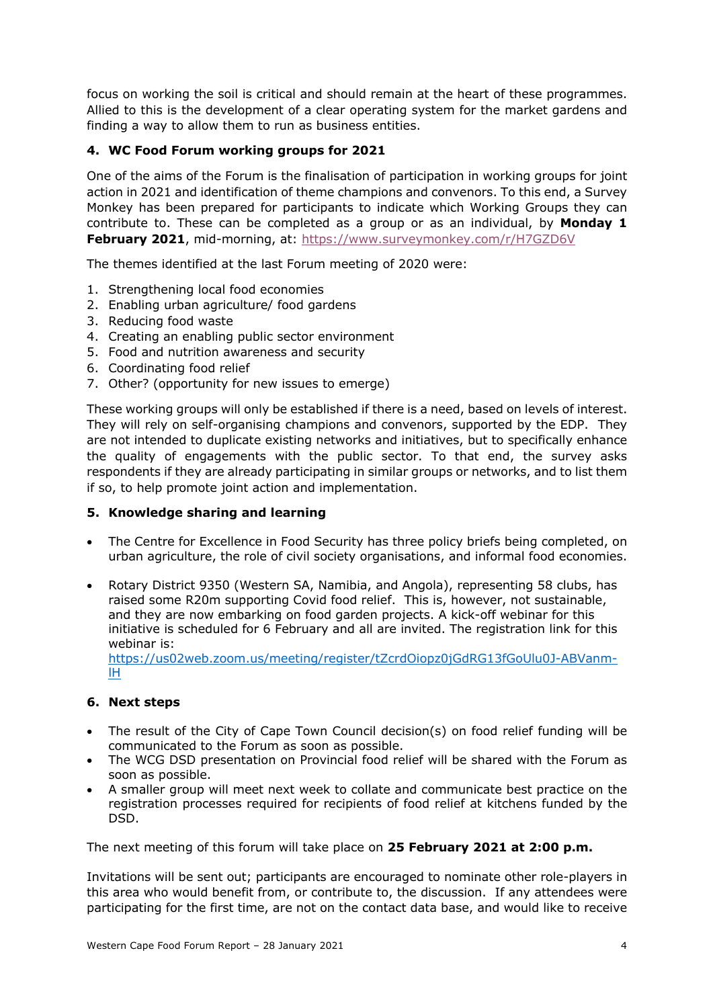focus on working the soil is critical and should remain at the heart of these programmes. Allied to this is the development of a clear operating system for the market gardens and finding a way to allow them to run as business entities.

# **4. WC Food Forum working groups for 2021**

One of the aims of the Forum is the finalisation of participation in working groups for joint action in 2021 and identification of theme champions and convenors. To this end, a Survey Monkey has been prepared for participants to indicate which Working Groups they can contribute to. These can be completed as a group or as an individual, by **Monday 1 February 2021**, mid-morning, at: https://www.surveymonkey.com/r/H7GZD6V

The themes identified at the last Forum meeting of 2020 were:

- 1. Strengthening local food economies
- 2. Enabling urban agriculture/ food gardens
- 3. Reducing food waste
- 4. Creating an enabling public sector environment
- 5. Food and nutrition awareness and security
- 6. Coordinating food relief
- 7. Other? (opportunity for new issues to emerge)

These working groups will only be established if there is a need, based on levels of interest. They will rely on self-organising champions and convenors, supported by the EDP. They are not intended to duplicate existing networks and initiatives, but to specifically enhance the quality of engagements with the public sector. To that end, the survey asks respondents if they are already participating in similar groups or networks, and to list them if so, to help promote joint action and implementation.

#### **5. Knowledge sharing and learning**

- The Centre for Excellence in Food Security has three policy briefs being completed, on urban agriculture, the role of civil society organisations, and informal food economies.
- Rotary District 9350 (Western SA, Namibia, and Angola), representing 58 clubs, has raised some R20m supporting Covid food relief. This is, however, not sustainable, and they are now embarking on food garden projects. A kick-off webinar for this initiative is scheduled for 6 February and all are invited. The registration link for this webinar is:

https://us02web.zoom.us/meeting/register/tZcrdOiopz0jGdRG13fGoUlu0J-ABVanmlH

## **6. Next steps**

- The result of the City of Cape Town Council decision(s) on food relief funding will be communicated to the Forum as soon as possible.
- The WCG DSD presentation on Provincial food relief will be shared with the Forum as soon as possible.
- A smaller group will meet next week to collate and communicate best practice on the registration processes required for recipients of food relief at kitchens funded by the DSD.

The next meeting of this forum will take place on **25 February 2021 at 2:00 p.m.**

Invitations will be sent out; participants are encouraged to nominate other role-players in this area who would benefit from, or contribute to, the discussion. If any attendees were participating for the first time, are not on the contact data base, and would like to receive